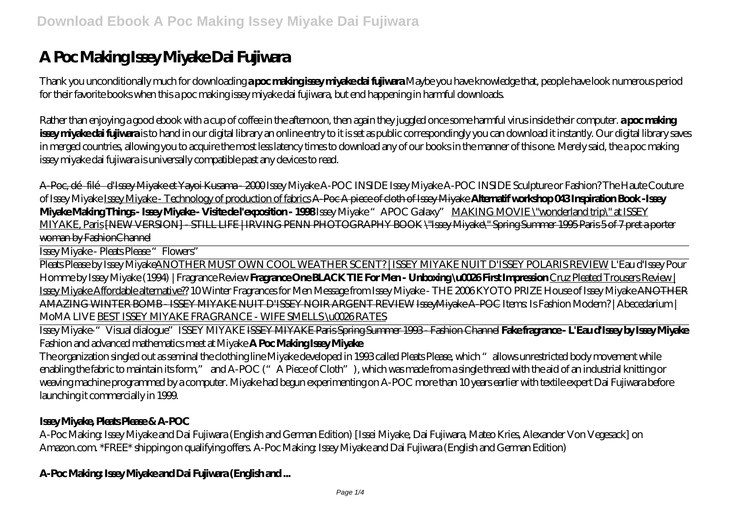# **A Poc Making Issey Miyake Dai Fujiwara**

Thank you unconditionally much for downloading **a poc making issey miyake dai fujiwara**.Maybe you have knowledge that, people have look numerous period for their favorite books when this a poc making issey miyake dai fujiwara, but end happening in harmful downloads.

Rather than enjoying a good ebook with a cup of coffee in the afternoon, then again they juggled once some harmful virus inside their computer. **a poc making** issey miyake dai fujiwara is to hand in our digital library an online entry to it is set as public correspondingly you can download it instantly. Our digital library saves in merged countries, allowing you to acquire the most less latency times to download any of our books in the manner of this one. Merely said, the a poc making issey miyake dai fujiwara is universally compatible past any devices to read.

A-Poc, dé filé d'Issey Miyake et Yayoi Kusama - 2000 *Issey Miyake A-POC INSIDE* Issey Miyake A-POC INSIDE Sculpture or Fashion? The Haute Couture of Issey Miyake Issey Miyake - Technology of production of fabrics A-Poc A piece of cloth of Issey Miyake **Alternatif workshop 043 Inspiration Book -Issey Miyake Making Things - Issey Miyake - Visite de l'exposition - 1998** Issey Miyake "APOC Galaxy" MAKING MOVIE \"wonderland trip\" at ISSEY MIYAKE, Paris [NEW VERSION] - STILL LIFE | IRVING PENN PHOTOGRAPHY BOOK \"Issey Miyake\" Spring Summer 1995 Paris 5 of 7 pret a porter woman by FashionChannel

Issey Miyake - Pleats Please "Flowers"

Pleats Please by Issey MiyakeANOTHER MUST OWN COOL WEATHER SCENT? | ISSEY MIYAKE NUIT D'ISSEY POLARIS REVIEW L'Eau d'Issey Pour Homme by Issey Miyake (1994) | Fragrance Review **Fragrance One BLACK TIE For Men - Unboxing \u0026 First Impression** Cruz Pleated Trousers Review | Issey Miyake Affordable alternative?? *10 Winter Fragrances for Men Message from Issey Miyake - THE 2006 KYOTO PRIZE* House of Issey Miyake ANOTHER AMAZING WINTER BOMB - ISSEY MIYAKE NUIT D'ISSEY NOIR ARGENT REVIEW IsseyMiyake A-POC *Items: Is Fashion Modern? | Abecedarium | MoMA LIVE* BEST ISSEY MIYAKE FRAGRANCE - WIFE SMELLS \u0026 RATES

Issey Miyake-"Visual dialogue"*ISSEY MIYAKE* ISSEY MIYAKE Paris Spring Summer 1993 - Fashion Channel **Fake fragrance - L'Eau d'Issey by Issey Miyake** *Fashion and advanced mathematics meet at Miyake* **A Poc Making Issey Miyake**

The organization singled out as seminal the clothing line Miyake developed in 1993 called Pleats Please, which "allows unrestricted body movement while enabling the fabric to maintain its form," and A-POC ("A Piece of Cloth"), which was made from a single thread with the aid of an industrial knitting or weaving machine programmed by a computer. Miyake had begun experimenting on A-POC more than 10 years earlier with textile expert Dai Fujiwara before launching it commercially in 1999.

#### **Issey Miyake, Pleats Please & A-POC**

A-Poc Making: Issey Miyake and Dai Fujiwara (English and German Edition) [Issei Miyake, Dai Fujiwara, Mateo Kries, Alexander Von Vegesack] on Amazon.com. \*FREE\* shipping on qualifying offers. A-Poc Making: Issey Miyake and Dai Fujiwara (English and German Edition)

#### **A-Poc Making: Issey Miyake and Dai Fujiwara (English and ...**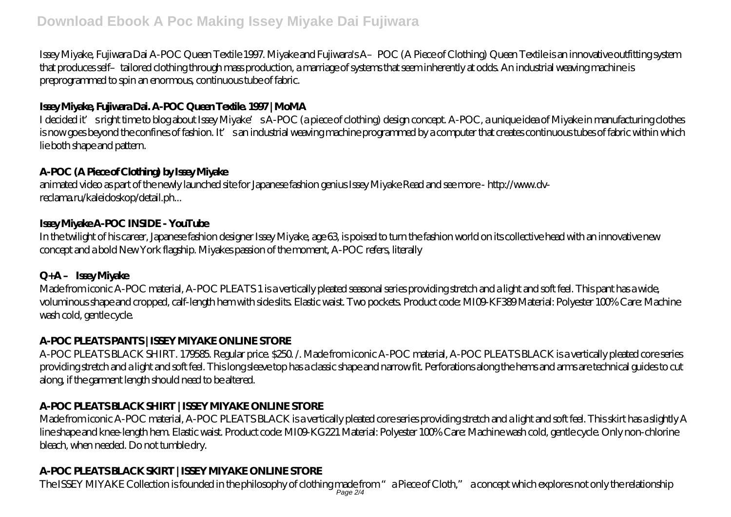# **Download Ebook A Poc Making Issey Miyake Dai Fujiwara**

Issey Miyake, Fujiwara Dai A-POC Queen Textile 1997. Miyake and Fujiwara's A- POC (A Piece of Clothing) Queen Textile is an innovative outfitting system that produces self–tailored clothing through mass production, a marriage of systems that seem inherently at odds. An industrial weaving machine is preprogrammed to spin an enormous, continuous tube of fabric.

#### **Issey Miyake, Fujiwara Dai. A-POC Queen Textile. 1997 | MoMA**

I decided it' sright time to blog about Issey Miyake's A-POC (a piece of clothing) design concept. A-POC, a unique idea of Miyake in manufacturing clothes is now goes beyond the confines of fashion. It's an industrial weaving machine programmed by a computer that creates continuous tubes of fabric within which lie both shape and pattern.

#### **A-POC (A Piece of Clothing) by Issey Miyake**

animated video as part of the newly launched site for Japanese fashion genius Issey Miyake Read and see more - http://www.dvreclama.ru/kaleidoskop/detail.ph...

#### **Issey Miyake A-POC INSIDE - YouTube**

In the twilight of his career, Japanese fashion designer Issey Miyake, age 63, is poised to turn the fashion world on its collective head with an innovative new concept and a bold New York flagship. Miyakes passion of the moment, A-POC refers, literally

# **Q+A – Issey Miyake**

Made from iconic A-POC material, A-POC PLEATS 1 is a vertically pleated seasonal series providing stretch and a light and soft feel. This pant has a wide, voluminous shape and cropped, calf-length hem with side slits. Elastic waist. Two pockets. Product code: MI09-KF389 Material: Polyester 100% Care: Machine wash cold, gentle cycle.

# **A-POC PLEATS PANTS | ISSEY MIYAKE ONLINE STORE**

A-POC PLEATS BLACK SHIRT. 179585. Regular price. \$250. /. Made from iconic A-POC material, A-POC PLEATS BLACK is a vertically pleated core series providing stretch and a light and soft feel. This long sleeve top has a classic shape and narrow fit. Perforations along the hems and arms are technical guides to cut along, if the garment length should need to be altered.

# **A-POC PLEATS BLACK SHIRT | ISSEY MIYAKE ONLINE STORE**

Made from iconic A-POC material, A-POC PLEATS BLACK is a vertically pleated core series providing stretch and a light and soft feel. This skirt has a slightly A line shape and knee-length hem. Elastic waist. Product code: MI09-KG221 Material: Polyester 100% Care: Machine wash cold, gentle cycle. Only non-chlorine bleach, when needed. Do not tumble dry.

# **A-POC PLEATS BLACK SKIRT | ISSEY MIYAKE ONLINE STORE**

The ISSEY MIYAKE Collection is founded in the philosophy of clothing made from "a Piece of Cloth," a concept which explores not only the relationship<br>Page 2/4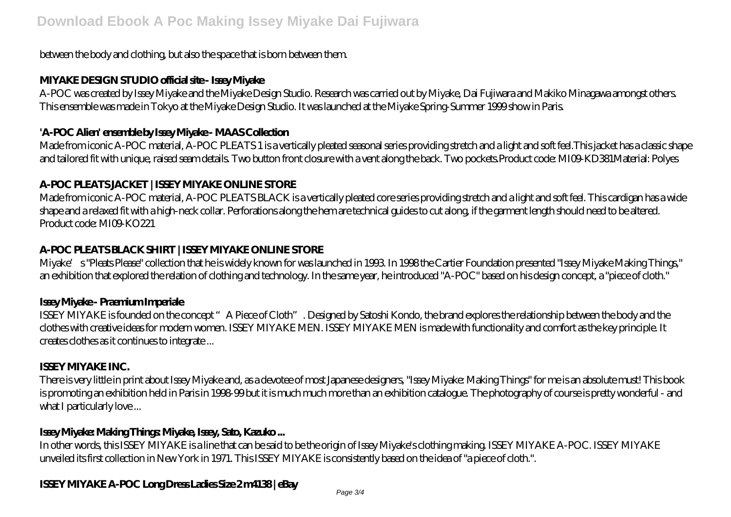#### between the body and clothing, but also the space that is born between them.

#### **MIYAKE DESIGN STUDIO official site - Issey Miyake**

A-POC was created by Issey Miyake and the Miyake Design Studio. Research was carried out by Miyake, Dai Fujiwara and Makiko Minagawa amongst others. This ensemble was made in Tokyo at the Miyake Design Studio. It was launched at the Miyake Spring-Summer 1999 show in Paris.

#### **'A-POC Alien' ensemble by Issey Miyake - MAAS Collection**

Made from iconic A-POC material, A-POC PLEATS 1 is a vertically pleated seasonal series providing stretch and a light and soft feel.This jacket has a classic shape and tailored fit with unique, raised seam details. Two button front closure with a vent along the back. Two pockets.Product code: MI09-KD381Material: Polyes

#### **A-POC PLEATS JACKET | ISSEY MIYAKE ONLINE STORE**

Made from iconic A-POC material, A-POC PLEATS BLACK is a vertically pleated core series providing stretch and a light and soft feel. This cardigan has a wide shape and a relaxed fit with a high-neck collar. Perforations along the hem are technical guides to cut along, if the garment length should need to be altered. Product code: MI09-KO221

# **A-POC PLEATS BLACK SHIRT | ISSEY MIYAKE ONLINE STORE**

Miyake's "Pleats Please" collection that he is widely known for was launched in 1993. In 1998 the Cartier Foundation presented "Issey Miyake Making Things," an exhibition that explored the relation of clothing and technology. In the same year, he introduced "A-POC" based on his design concept, a "piece of cloth."

#### **Issey Miyake - Praemium Imperiale**

ISSEY MIYAKE is founded on the concept "A Piece of Cloth". Designed by Satoshi Kondo, the brand explores the relationship between the body and the clothes with creative ideas for modern women. ISSEY MIYAKE MEN. ISSEY MIYAKE MEN is made with functionality and comfort as the key principle. It creates clothes as it continues to integrate ...

# **ISSEY MIYAKE INC.**

There is very little in print about Issey Miyake and, as a devotee of most Japanese designers, "Issey Miyake: Making Things" for me is an absolute must! This book is promoting an exhibition held in Paris in 1998-99 but it is much much more than an exhibition catalogue. The photography of course is pretty wonderful - and what I particularly love ...

# **Issey Miyake: Making Things: Miyake, Issey, Sato, Kazuko ...**

In other words, this ISSEY MIYAKE is a line that can be said to be the origin of Issey Miyake's clothing making. ISSEY MIYAKE A-POC. ISSEY MIYAKE unveiled its first collection in New York in 1971. This ISSEY MIYAKE is consistently based on the idea of "a piece of cloth.".

# **ISSEY MIYAKE A-POC Long Dress Ladies Size 2 m4138 | eBay**